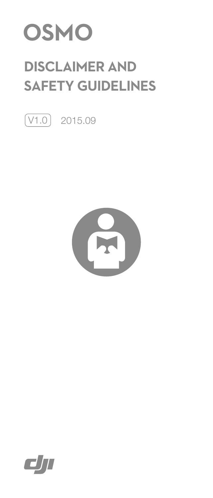

# **DISCLAIMER AND SAFETY GUIDELINES**

 $\boxed{\text{V1.0}}$  2015.09



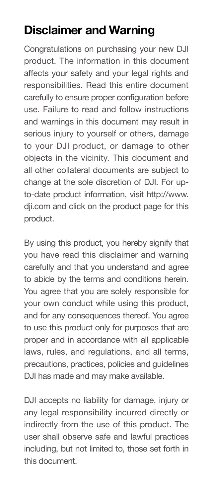## **Disclaimer and Warning**

Congratulations on purchasing your new DJI product. The information in this document affects your safety and your legal rights and responsibilities. Read this entire document carefully to ensure proper configuration before use. Failure to read and follow instructions and warnings in this document may result in serious injury to yourself or others, damage to your DJI product, or damage to other objects in the vicinity. This document and all other collateral documents are subject to change at the sole discretion of DJI. For upto-date product information, visit http://www. dji.com and click on the product page for this product.

By using this product, you hereby signify that you have read this disclaimer and warning carefully and that you understand and agree to abide by the terms and conditions herein. You agree that you are solely responsible for your own conduct while using this product, and for any consequences thereof. You agree to use this product only for purposes that are proper and in accordance with all applicable laws, rules, and regulations, and all terms, precautions, practices, policies and guidelines DJI has made and may make available.

DJI accepts no liability for damage, injury or any legal responsibility incurred directly or indirectly from the use of this product. The user shall observe safe and lawful practices including, but not limited to, those set forth in this document.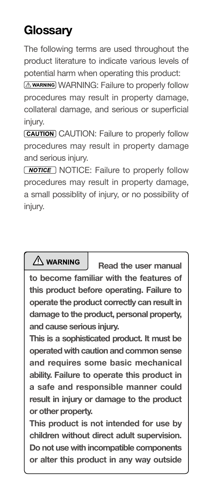## **Glossary**

The following terms are used throughout the product literature to indicate various levels of potential harm when operating this product:

**AWARNING:** Failure to properly follow procedures may result in property damage, collateral damage, and serious or superficial injury.

**CAUTION:** Failure to properly follow procedures may result in property damage and serious injury.

**NOTICE:** Failure to properly follow procedures may result in property damage, a small possiblity of injury, or no possibility of iniurv.

 $\triangle$  WARNING **Read the user manual to become familiar with the features of this product before operating. Failure to operate the product correctly can result in damage to the product, personal property, and cause serious injury.**

**This is a sophisticated product. It must be operated with caution and common sense and requires some basic mechanical ability. Failure to operate this product in a safe and responsible manner could result in injury or damage to the product or other property.** 

**This product is not intended for use by children without direct adult supervision. Do not use with incompatible components or alter this product in any way outside**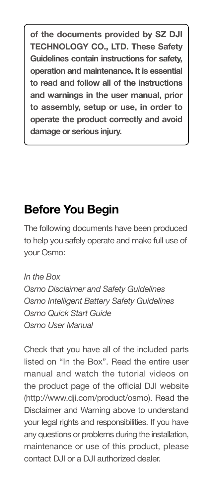**of the documents provided by SZ DJI TECHNOLOGY CO., LTD. These Safety Guidelines contain instructions for safety, operation and maintenance. It is essential to read and follow all of the instructions and warnings in the user manual, prior to assembly, setup or use, in order to operate the product correctly and avoid damage or serious injury.**

### **Before You Begin**

The following documents have been produced to help you safely operate and make full use of your Osmo:

*In the Box Osmo Disclaimer and Safety Guidelines Osmo Intelligent Battery Safety Guidelines Osmo Quick Start Guide Osmo User Manual*

Check that you have all of the included parts listed on "In the Box". Read the entire user manual and watch the tutorial videos on the product page of the official DJI website (http://www.dji.com/product/osmo). Read the Disclaimer and Warning above to understand your legal rights and responsibilities. If you have any questions or problems during the installation, maintenance or use of this product, please contact DJI or a DJI authorized dealer.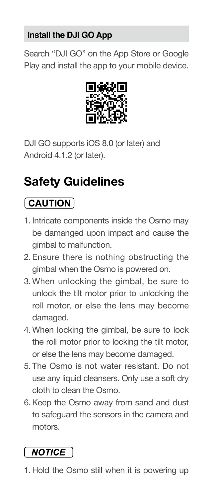#### **Install the DJI GO App**

Search "DJI GO" on the App Store or Google Play and install the app to your mobile device.



DJI GO supports iOS 8.0 (or later) and Android 4.1.2 (or later).

## **Safety Guidelines**

### $\sqrt{CAUTION}$

- 1. Intricate components inside the Osmo may be damanged upon impact and cause the gimbal to malfunction.
- 2. Ensure there is nothing obstructing the gimbal when the Osmo is powered on.
- 3. When unlocking the gimbal, be sure to unlock the tilt motor prior to unlocking the roll motor, or else the lens may become damaged.
- 4. When locking the gimbal, be sure to lock the roll motor prior to locking the tilt motor, or else the lens may become damaged.
- 5. The Osmo is not water resistant. Do not use any liquid cleansers. Only use a soft dry cloth to clean the Osmo.
- 6.Keep the Osmo away from sand and dust to safeguard the sensors in the camera and motors.

### **NOTICE**

1. Hold the Osmo still when it is powering up